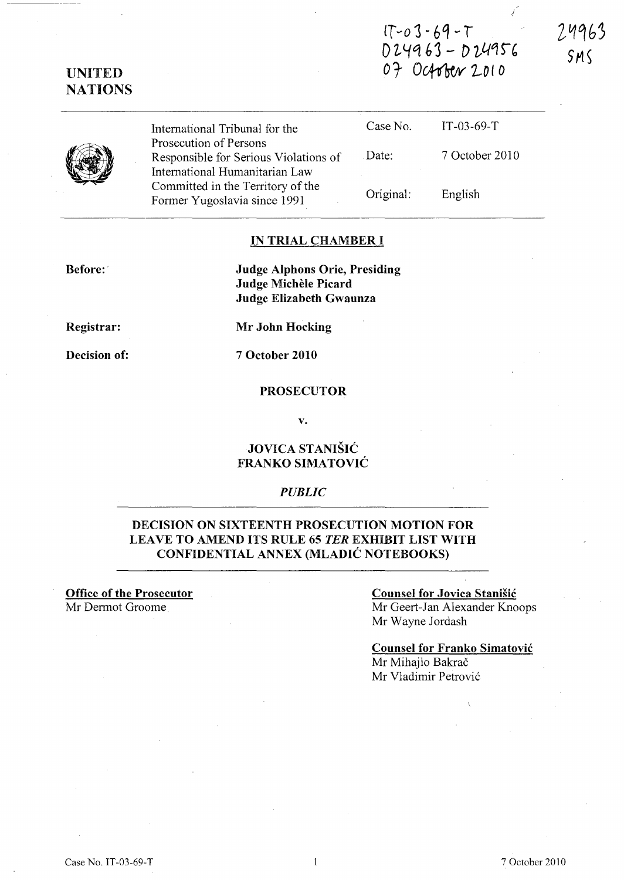# $1T - 03 - 69 - T$  $D24963 - D24956$ *o* t Ocf(btrv *2...0* I *<sup>0</sup>*

24963 SMS

I

# UNITED **NATIONS**



International Tribunal for the Prosecution of Persons Responsible for Serious Violations of International Humanitarian Law Committed in the Territory of the Former Yugoslavia since 1991 Case No. Date: Original: IT-03-69-T 7 October 2010 English

### IN TRIAL CHAMBER I

Before:

Judge Alphons Orie, Presiding Judge Michele Picard Judge Elizabeth Gwaunza

Registrar:

Decision of:

7 October 2010

Mr John Hocking

### PROSECUTOR

v.

### JOVICA STANISIC FRANKO SIMATOVIC

### *PUBLIC*

### DECISION ON SIXTEENTH PROSECUTION MOTION FOR LEAVE TO AMEND ITS RULE 65 *TER* EXHIBIT LIST WITH CONFIDENTIAL ANNEX (MLADIC NOTEBOOKS)

Office of the Prosecutor Mr Dermot Groome.

#### Counsel for Jovica Stanisic

Mr Geert-Jan Alexander Knoops Mr Wayne Jordash

### Counsel for Franko Simatovic

Mr Mihailo Bakrač Mr Vladimir Petrovic

Case No. IT-03-69-T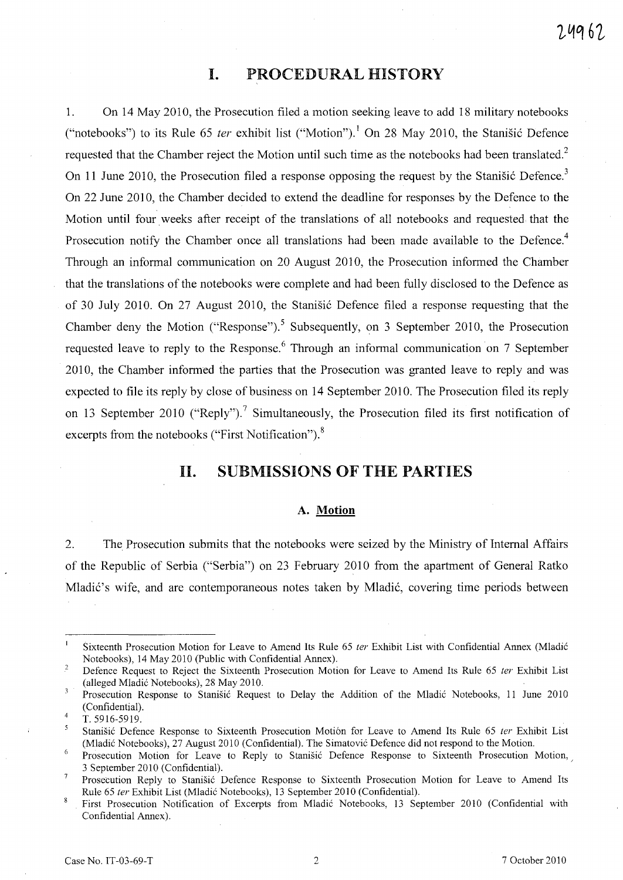# **I. PROCEDURAL HISTORY**

1. On 14 May 2010, the Prosecution filed a motion seeking leave to add 18 military notebooks ("notebooks") to its Rule 65 *ter* exhibit list ("Motion").<sup>1</sup> On 28 May 2010, the Stanistic Defence requested that the Chamber reject the Motion until such time as the notebooks had been translated.<sup>2</sup> On 11 June 2010, the Prosecution filed a response opposing the request by the Stanisic Defence.<sup>3</sup> On 22 June 2010, the Chamber decided to extend the deadline for responses by the Defence to the Motion until four weeks after receipt of the translations of all notebooks and requested that the Prosecution notify the Chamber once all translations had been made available to the Defence.<sup>4</sup> Through an informal communication on 20 August 2010, the Prosecution informed the Chamber that the translations of the notebooks were complete and had been fully disclosed to the Defence as of 30 July 2010. On 27 August 2010, the Stanišić Defence filed a response requesting that the Chamber deny the Motion ("Response").<sup>5</sup> Subsequently, on 3 September 2010, the Prosecution requested leave to reply to the Response.<sup>6</sup> Through an informal communication on 7 September 2010, the Chamber informed the parties that the Prosecution was granted leave to reply and was expected to file its reply by close of business on 14 September 2010. The Prosecution filed its reply on 13 September 2010 ("Reply").<sup>7</sup> Simultaneously, the Prosecution filed its first notification of excerpts from the notebooks ("First Notification"). $8$ 

### **11. SUBMISSIONS OF THE PARTIES**

#### **A. Motion**

2. The Prosecution submits that the notebooks were seized by the Ministry of Internal Affairs of the Republic of Serbia ("Serbia") on 23 February 2010 from the apartment of General Ratko Mladić's wife, and are contemporaneous notes taken by Mladić, covering time periods between

 $\mathbf{I}$ Sixteenth Prosecution Motion for Leave to Amend Its Rule 65 ter Exhibit List with Confidential Annex (Mladić Notebooks), 14 May 2010 (Public with Confidential Annex).

 $\sqrt{2}$ Defence Request to Reject the Sixteenth Prosecution Motion for Leave to Amend Its Rule 65 ter Exhibit List (alleged Mladic Notebooks), 28 May 2010.

Prosecution Response to Stanisic Request to Delay the Addition of the Mladic Notebooks, 11 June 2010 3 (Confidential).

<sup>4</sup>  T. 5916-5919.

 $\overline{\mathbf{S}}$ Stanišić Defence Response to Sixteenth Prosecution Motión for Leave to Amend Its Rule 65 ter Exhibit List (Mladic Notebooks), 27 August 2010 (Confidential). The Simatovic Defence did not respond to the Motion.

<sup>6</sup> Prosecution Motion for Leave to Reply to Stanišić Defence Response to Sixteenth Prosecution Motion, 3 September 2010 (Confidential).

 $\overline{7}$ Prosecution Reply to Stanisic Defence Response to Sixteenth Prosecution Motion for Leave to Amend Its Rule 65 ler Exhibit List (Mladic Notebooks), 13 September 2010 (Confidential).

 $\overline{8}$ First Prosecution Notification of Excerpts from Mladic Notebooks, 13 September 2010 (Confidential with Confidential Annex).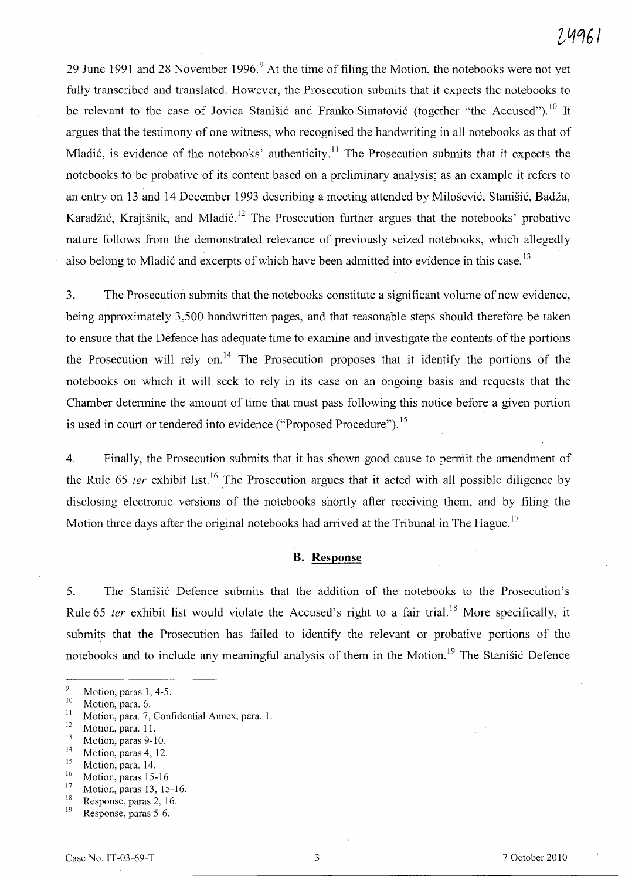29 June 1991 and 28 November 1996.<sup>9</sup> At the time of filing the Motion, the notebooks were not yet fully transcribed and translated. However, the Prosecution submits that it expects the notebooks to be relevant to the case of Jovica Stanišić and Franko Simatović (together "the Accused").<sup>10</sup> It argues that the testimony of one witness, who recognised the handwriting in all notebooks as that of Mladić, is evidence of the notebooks' authenticity.<sup>11</sup> The Prosecution submits that it expects the notebooks to be probative of its content based on a preliminary analysis; as an example it refers to an entry on 13 and 14 December 1993 describing a meeting attended by Milošević, Stanišić, Badža, Karadžić, Krajišnik, and Mladić.<sup>12</sup> The Prosecution further argues that the notebooks' probative nature follows from the demonstrated relevance of previously seized notebooks, which allegedly also belong to Mladić and excerpts of which have been admitted into evidence in this case.<sup>13</sup>

3. The Prosecution submits that the notebooks constitute a significant volume of new evidence, being approximately 3,500 handwritten pages, and that reasonable steps should therefore be taken to ensure that the Defence has adequate time to examine and investigate the contents of the portions the Prosecution will rely on.<sup>14</sup> The Prosecution proposes that it identify the portions of the notebooks on which it will seek to rely in its case on an ongoing basis and requests that the Chamber determine the amount of time that must pass following this notice before a given portion is used in court or tendered into evidence ("Proposed Procedure").<sup>15</sup>

4. Finally, the Prosecution submits that it has shown good cause to permit the amendment of the Rule 65 *ter* exhibit list.<sup>16</sup> The Prosecution argues that it acted with all possible diligence by disclosing electronic versions of the notebooks shortly after receiving them, and by filing the Motion three days after the original notebooks had arrived at the Tribunal in The Hague.<sup>17</sup>

#### **B. Response**

5. The Stanisic Defence submits that the addition of the notebooks to the Prosecution's Rule 65 *ter* exhibit list would violate the Accused's right to a fair trial.<sup>18</sup> More specifically, it submits that the Prosecution has failed to identify the relevant or probative portions of the notebooks and to include any meaningful analysis of them in the Motion.<sup>19</sup> The Stanišić Defence

- $\frac{12}{13}$  Motion, para. 11.
- $\frac{13}{14}$  Motion, paras 9-10.
- $\frac{14}{15}$  Motion, paras 4, 12.
- $\frac{15}{16}$  Motion, para. 14.
- $\frac{16}{17}$  Motion, paras 15-16
- $17$  Motion, paras 13, 15-16.
- <sup>18</sup> Response, paras 2, 16.

 $\overline{9}$ Motion, paras 1, 4-5.

 $10$  Motion, para. 6.

<sup>&</sup>lt;sup>11</sup> Motion, para. 7, Confidential Annex, para. 1.<br> $\frac{12}{12}$  Motion and 1.

Response, paras 5-6.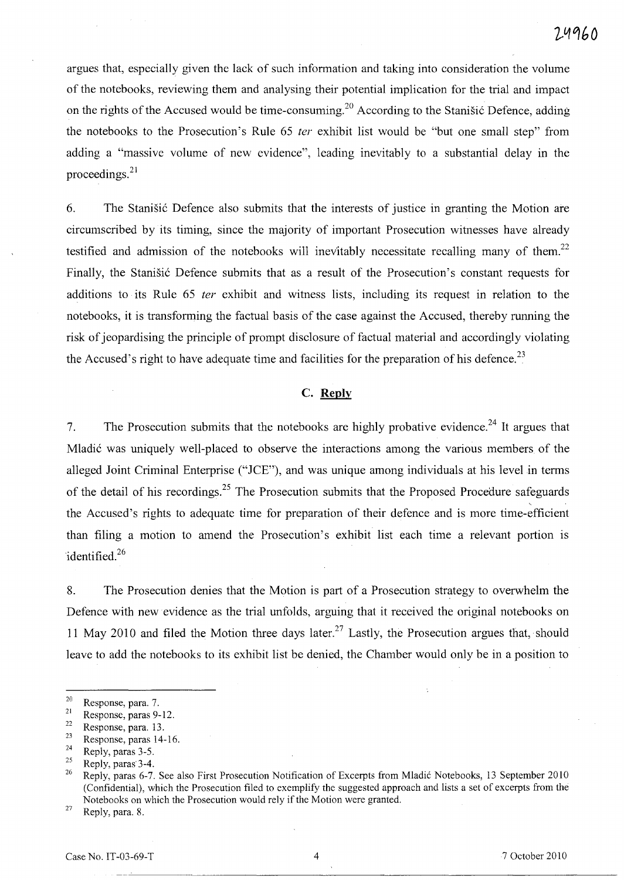argues that, especially given the lack of such information and taking into consideration the volume of the notebooks, reviewing them and analysing their potential implication for the trial and impact on the rights of the Accused would be time-consuming.<sup>20</sup> According to the Stanisic Defence, adding the notebooks to the Prosecution's Rule 65 *ter* exhibit list would be "but one small step" from adding a "massive volume of new evidence", leading inevitably to a substantial delay in the proceedings. <sup>21</sup>

6. The Stanisic Defence also submits that the interests of justice in granting the Motion are circumscribed by its timing, since the majority of important Prosecution witnesses have already testified and admission of the notebooks will inevitably necessitate recalling many of them.<sup>22</sup> Finally, the Stanisic Defence submits that as a result of the Prosecution's constant requests for additions to its Rule 65 ter exhibit and witness lists, including its request in relation to the notebooks, it is transforming the factual basis of the case against the Accused, thereby running the risk of jeopardising the principle of prompt disclosure of factual material and accordingly violating the Accused's right to have adequate time and facilities for the preparation of his defence.<sup>23</sup>

### **C. Reply**

7. The Prosecution submits that the notebooks are highly probative evidence.<sup>24</sup> It argues that Mladic was uniquely well-placed to observe the interactions among the various members of the alleged Joint Criminal Enterprise ("JCE"), and was unique among individuals at his level in terms of the detail of his recordings.<sup>25</sup> The Prosecution submits that the Proposed Procedure safeguards the Accused's rights to adequate time for preparation of their defence and is more time-efficient than filing a motion to amend the Prosecution's exhibit list each time a relevant portion is identified.<sup>26</sup>

8. The Prosecution denies that the Motion is part of a Prosecution strategy to overwhelm the Defence with new evidence as the trial unfolds, arguing that it received the original notebooks on 11 May 2010 and filed the Motion three days later.<sup>27</sup> Lastly, the Prosecution argues that, should leave to add the notebooks to its exhibit list be denied, the Chamber would only be in a position to

- $\frac{22}{23}$  Response, para. 13.
- $\frac{23}{24}$  Response, paras 14-16.
- $\frac{24}{25}$  Reply, paras 3-5.

 $27$  Reply, para. 8.

 $\frac{20}{21}$  Response, para. 7.

 $\frac{21}{22}$  Response, paras 9-12.

 $\frac{25}{26}$  Reply, paras 3-4.

<sup>26</sup> Reply, paras 6-7. See also First Prosecution Notification of Excerpts from Mladic Notebooks, 13 September 2010 (Confidential), which the Prosecution filed to exemplify the suggested approach and lists a set of excerpts from the Notebooks on which the Prosecution would rely if the Motion were granted.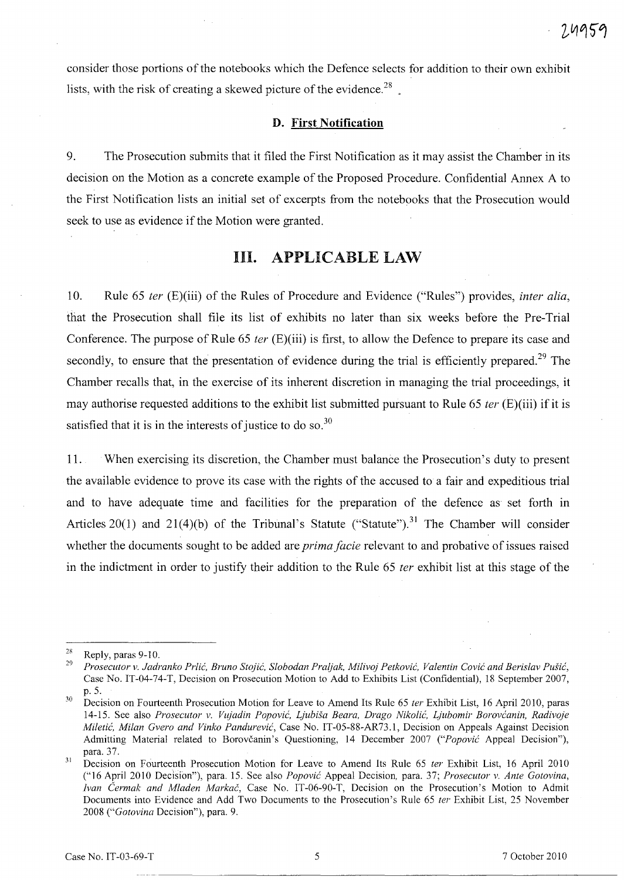consider those portions of the notebooks which the Defence selects for addition to their own exhibit lists, with the risk of creating a skewed picture of the evidence.<sup>28</sup>

### D. First **Notification**

9. The Prosecution submits that it filed the First Notification as it may assist the Chamber in its decision on the Motion as a concrete example of the Proposed Procedure. Confidential Annex A to the First Notification lists an initial set of excerpts from the notebooks that the Prosecution would seek to use as evidence if the Motion were granted.

# Ill. APPLICABLE LAW

10. Rule 65 *ter* (E)(iii) of the Rules of Procedure and Evidence ("Rules") provides, *inter alia,*  that the Prosecution shall file its list of exhibits no later than six weeks before the Pre-Trial Conference. The purpose of Rule 65 *ter* (E)(iii) is first, to allow the Defence to prepare its case and secondly, to ensure that the presentation of evidence during the trial is efficiently prepared.<sup>29</sup> The Chamber recalls that, in the exercise of its inherent discretion in managing the trial proceedings, it may authorise requested additions to the exhibit list submitted pursuant to Rule 65 *ter* (E)(iii) if it is satisfied that it is in the interests of justice to do so.<sup>30</sup>

11. When exercising its discretion, the Chamber must balance the Prosecution's duty to present the available evidence to prove its case with the rights of the accused to a fair and expeditious trial and to have adequate time and facilities for the preparation of the defence as set forth in Articles 20(1) and 21(4)(b) of the Tribunal's Statute ("Statute").<sup>31</sup> The Chamber will consider whether the documents sought to be added are *prima facie* relevant to and probative of issues raised in the indictment in order to justify their addition to the Rule 65 *ter* exhibit list at this stage of the

 $\frac{28}{29}$  Reply, paras 9-10.

*<sup>29</sup> Prosecutor v. Jadranko Prlic, Bruno Stojic, Slobodan Praljak, Milivoj Petkovic, Valentin Covic and Berislav Pu§ic,*  Case No. IT-04-74-T, Decision on Prosecution Motion to Add to Exhibits List (Confidential), 18 September 2007, p.5.

<sup>30</sup> Decision on Fourteenth Prosecution Motion for Leave to Amend Its Rule 65 *ter* Exhibit List, 16 April 2010, paras 14-15. See also *Prosecutor v. Vujadin Popovic, Ljubi§a Beara, Drago Nikolii, Ljubomir Borovcanin, Radivoje Miletic, Milan Gvero and Vinko Pandurevic,* Case No. IT-05-88-AR73.1, Decision on Appeals Against Decision Admitting Material related to Borovcanin's Questioning, 14 December 2007 *("Popovic* Appeal Decision"), para. 37.

<sup>31</sup>  Decision on Fourteenth Prosecution Motion for Leave to Amend Its Rule 65 *ter* Exhibit List, 16 April 2010 ("16 April 2010 Decision"), para. 15. See also *Popovic* Appeal Decision, para. 37; *Prosecutor v. Ante Gotovina, ivan Cermak and Mladen Markai,* Case No. IT-06-90-T, Decision on the Prosecution's Motion to Admit Documents into Evidence and Add Two Documents to the Prosecution's Rule 65 *ter* Exhibit List, 25 November *2008 ("Gotovina* Decision"), para. 9.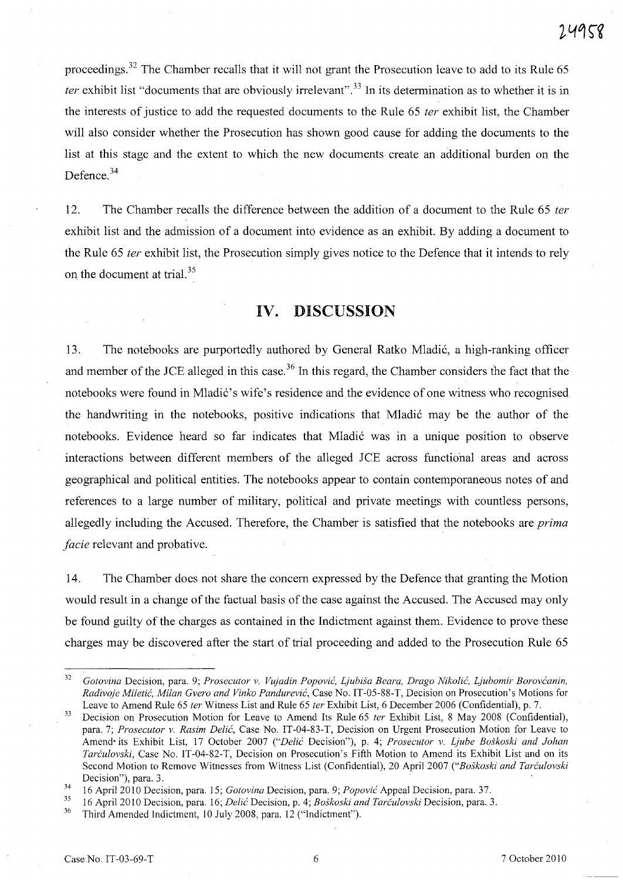proceedings.<sup>32</sup> The Chamber recalls that it will not grant the Prosecution leave to add to its Rule 65 *ter* exhibit list "documents that are obviously irrelevant".<sup>33</sup> In its determination as to whether it is in the interests of justice to add the requested documents to the Rule 65 *ter* exhibit list, the Chamber will also consider whether the Prosecution has shown good cause for adding the documents to the list at this stage and the extent to which the new documents create an additional burden on the Defence.<sup>34</sup>

12. The Chamber recalls the difference between the addition of a document to the Rule 65 *ter*  exhibit list and the admission of a document into evidence as an exhibit. By adding a document to the Rule 65 *ter* exhibit list, the Prosecution simply gives notice to the Defence that it intends to rely on the document at trial.<sup>35</sup>

# **IV. DISCUSSION**

13. The notebooks are purportedly authored by General Ratko Mladic, a high-ranking officer and member of the JCE alleged in this case.<sup>36</sup> In this regard, the Chamber considers the fact that the notebooks were found in Mladić's wife's residence and the evidence of one witness who recognised the handwriting in the notebooks, positive indications that Mladic may be the author of the notebooks. Evidence heard so far indicates that Mladic was in a unique position to observe interactions between different members of the alleged JCE across functional areas and across geographical and political entities. The notebooks appear to contain contemporaneous notes of and references to a large number of military, political and private meetings with countless persons, allegedly including the Accused. Therefore, the Chamber is satisfied that the notebooks are *prima facie* relevant and probative.

14. The Chamber does not share the concern expressed by the Defence that granting the Motion would result in a change of the factual basis of the case against the Accused. The Accused may only be found guilty of the charges as contained in the Indictment against them. Evidence to prove these charges may be discovered after the start of trial proceeding and added to the Prosecution Rule 65

*<sup>32</sup> Gotovina* Decision, para. 9; *Prosecutor v. Vujadin Popovic, Ljubisa Beara, Drago Nikolic, Ljubomir Borovcanin, Radivoje Miletic, Milan Gvero and Vinko Pandurevic,* Case No. IT-05-SS-T, Decision on Prosecution's Motions for Leave to Amend Rule 65 *ter* Witness List and Rule 65 *ter* Exhibit List, 6 December 2006 (Confidential), p. 7.

<sup>33</sup> Decision on Prosecution Motion for Leave to Amend Its Rule 65 *ter* Exhibit List, S May 200S (Confidential), para. 7; *Prosecutor v. Rasim Delic,* Case No. IT-04-S3-T, Decision on Urgent Prosecution Motion for Leave to Amend' its Exhibit List, 17 October 2007 *("De/ic* Decision"), p. 4; *Prosecutor v. Ljube Boskoski and lohan Tarculovski,* Case No. IT-04-S2-T, Decision on Prosecution's Fifth Motion to Amend its Exhibit List and on its Second Motion to Remove Witnesses from Witness List (Confidential), 20 April 2007 *("Boskoski and Tarculovski*  Decision"), para. 3.

<sup>34 16</sup> April 2010 Decision, para. 15; *Gotovina* Decision, para. 9; *Popovic* Appeal Decision, para. 37.

<sup>35 16</sup> April 2010 Decision, para. 16; *Delic* Decision, p. 4; *Boskoski and Tarculovski* Decision, para. 3.

Third Amended Indictment, 10 July 2008, para. 12 ("Indictment").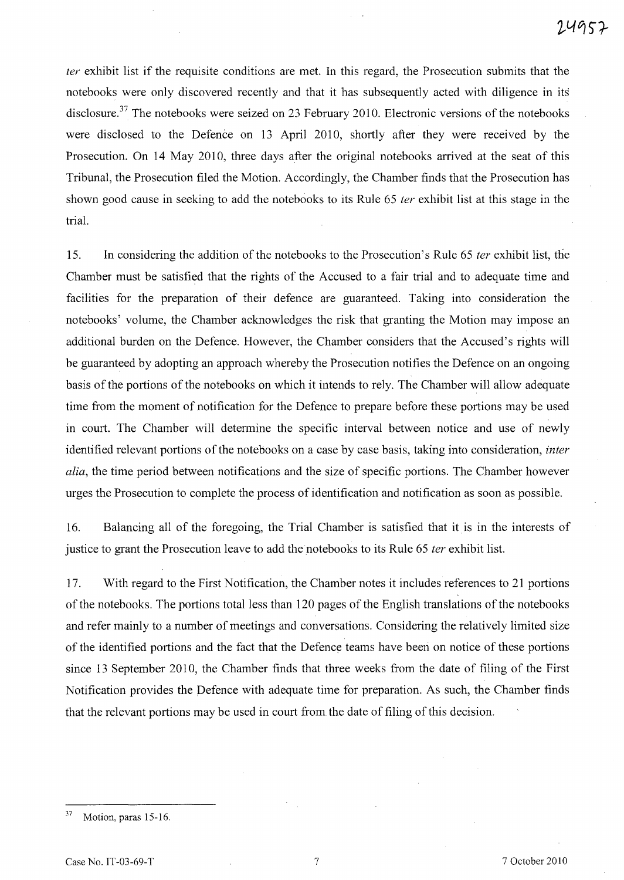*ter* exhibit list if the requisite conditions are met. In this regard, the Prosecution submits that the notebooks were only discovered recently and that it has subsequently acted with diligence in its disclosure.<sup>37</sup> The notebooks were seized on 23 February 2010. Electronic versions of the notebooks were disclosed to the Defence on 13 April 2010, shortly after they were received by the Prosecution. On 14 May 2010, three days after the original notebooks arrived at the seat of this Tribunal, the Prosecution filed the Motion. Accordingly, the Chamber finds that the Prosecution has shown good cause in seeking to add the notebooks to its Rule 65 *ter* exhibit list at this stage in the trial.

15. In considering the addition of the notebooks to the Prosecution's Rule 65 *ter* exhibit list, the Chamber must be satisfied that the rights of the Accused to a fair trial and to adequate time and facilities for the preparation of their defence are guaranteed. Taking into consideration the notebooks' volume, the Chamber acknowledges the risk that granting the Motion may impose an additional burden on the Defence. However, the Chamber considers that the Accused's rights will be guaranteed by adopting an approach whereby the Prosecution notifies the Defence on an ongoing basis of the portions of the notebooks on which it intends to rely. The Chamber will allow adequate time from the moment of notification for the Defence to prepare before these portions may be used in court. The Chamber will determine the specific interval between notice and use of newly identified relevant portions of the notebooks on a case by case basis, taking into consideration, *inter alia,* the time period between notifications and the size of specific portions. The Chamber however urges the Prosecution to complete the process of identification and notification as soon as possible.

16. Balancing all of the foregoing, the Trial Chamber is satisfied that it is in the interests of justice to grant the Prosecution leave to add the notebooks to its Rule 65 *ter* exhibit list.

17. With regard to the First Notification, the Chamber notes it includes references to 21 portions of the notebooks. The portions total less than 120 pages of the English translations of the notebooks and refer mainly to a number of meetings and conversations. Considering the relatively limited size of the identified portions and the fact that the Defence teams have been on notice of these portions since 13 September 2010, the Chamber finds that three weeks from the date of filing of the First Notification provides the Defence with adequate time for preparation. As such, the Chamber finds that the relevant portions may be used in court from the date of filing of this decision.

 $37$  Motion, paras 15-16.